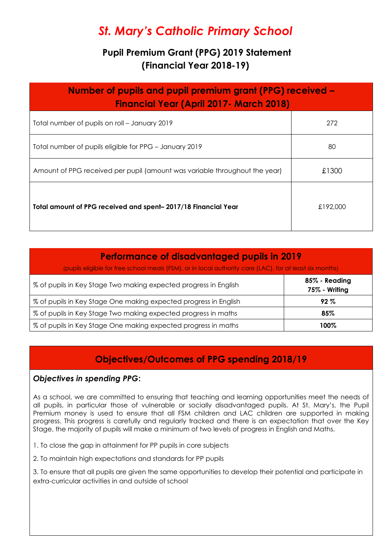# *St. Mary's Catholic Primary School*

# **Pupil Premium Grant (PPG) 2019 Statement (Financial Year 2018-19)**

| Number of pupils and pupil premium grant (PPG) received –<br><b>Financial Year (April 2017 - March 2018)</b> |          |  |  |
|--------------------------------------------------------------------------------------------------------------|----------|--|--|
| Total number of pupils on roll - January 2019                                                                | 272      |  |  |
| Total number of pupils eligible for PPG - January 2019                                                       | 80       |  |  |
| Amount of PPG received per pupil (amount was variable throughout the year)                                   | £1300    |  |  |
| Total amount of PPG received and spent-2017/18 Financial Year                                                | £192,000 |  |  |

# **Performance of disadvantaged pupils in 2019**

(pupils eligible for free school meals (FSM), or in local authority care (LAC), for at least six months)

| % of pupils in Key Stage Two making expected progress in English | 85% - Reading<br>75% - Writing |
|------------------------------------------------------------------|--------------------------------|
| % of pupils in Key Stage One making expected progress in English | $92\%$                         |
| % of pupils in Key Stage Two making expected progress in maths   | 85%                            |
| % of pupils in Key Stage One making expected progress in maths   | 100%                           |

# **Objectives/Outcomes of PPG spending 2018/19**

# *Objectives in spending PPG***:**

As a school, we are committed to ensuring that teaching and learning opportunities meet the needs of all pupils, in particular those of vulnerable or socially disadvantaged pupils. At St. Mary's, the Pupil Premium money is used to ensure that all FSM children and LAC children are supported in making progress. This progress is carefully and regularly tracked and there is an expectation that over the Key Stage, the majority of pupils will make a minimum of two levels of progress in English and Maths.

- 1. To close the gap in attainment for PP pupils in core subjects
- 2. To maintain high expectations and standards for PP pupils

3. To ensure that all pupils are given the same opportunities to develop their potential and participate in extra-curricular activities in and outside of school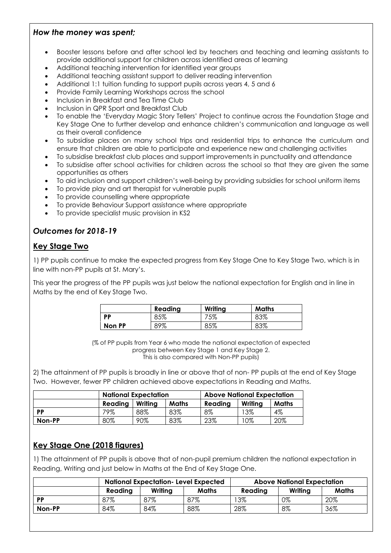#### *How the money was spent;*

- Booster lessons before and after school led by teachers and teaching and learning assistants to provide additional support for children across identified areas of learning
- Additional teaching intervention for identified year groups
- Additional teaching assistant support to deliver reading intervention
- Additional 1:1 tuition funding to support pupils across years 4, 5 and 6
- Provide Family Learning Workshops across the school
- Inclusion in Breakfast and Tea Time Club
- Inclusion in QPR Sport and Breakfast Club
- To enable the 'Everyday Magic Story Tellers' Project to continue across the Foundation Stage and Key Stage One to further develop and enhance children's communication and language as well as their overall confidence
- To subsidise places on many school trips and residential trips to enhance the curriculum and ensure that children are able to participate and experience new and challenging activities
- To subsidise breakfast club places and support improvements in punctuality and attendance
- To subsidise after school activities for children across the school so that they are given the same opportunities as others
- To aid inclusion and support children's well-being by providing subsidies for school uniform items
- To provide play and art therapist for vulnerable pupils
- To provide counselling where appropriate
- To provide Behaviour Support assistance where appropriate
- To provide specialist music provision in KS2

## *Outcomes for 2018-1***9**

## **Key Stage Two**

1) PP pupils continue to make the expected progress from Key Stage One to Key Stage Two, which is in line with non-PP pupils at St. Mary's.

This year the progress of the PP pupils was just below the national expectation for English and in line in Maths by the end of Key Stage Two.

|           | Reading | Writing | Maths |
|-----------|---------|---------|-------|
| <b>DD</b> | 85%     | 75%     | 83%   |
| Non PP    | 89%     | 85%     | 83%   |

(% of PP pupils from Year 6 who made the national expectation of expected progress between Key Stage 1 and Key Stage 2. This is also compared with Non-PP pupils)

2) The attainment of PP pupils is broadly in line or above that of non- PP pupils at the end of Key Stage Two. However, fewer PP children achieved above expectations in Reading and Maths.

|           | <b>National Expectation</b> |         |              | <b>Above National Expectation</b> |         |       |
|-----------|-----------------------------|---------|--------------|-----------------------------------|---------|-------|
|           | Reading                     | Writing | <b>Maths</b> | Reading                           | Writing | Maths |
| <b>PP</b> | 79%                         | 88%     | 83%          | 8%                                | 13%     | 4%    |
| Non-PP    | 80%                         | 90%     | 83%          | 23%                               | 10%     | 20%   |

# **Key Stage One (2018 figures)**

1) The attainment of PP pupils is above that of non-pupil premium children the national expectation in Reading, Writing and just below in Maths at the End of Key Stage One.

|        | <b>National Expectation-Level Expected</b> |         |              | <b>Above National Expectation</b> |         |              |
|--------|--------------------------------------------|---------|--------------|-----------------------------------|---------|--------------|
|        | Reading                                    | Writing | <b>Maths</b> | Reading                           | Writina | <b>Maths</b> |
| PP     | 87%                                        | 87%     | 87%          | $3\%$                             | 0%      | 20%          |
| Non-PP | 84%                                        | 84%     | 88%          | 28%                               | 8%      | 36%          |